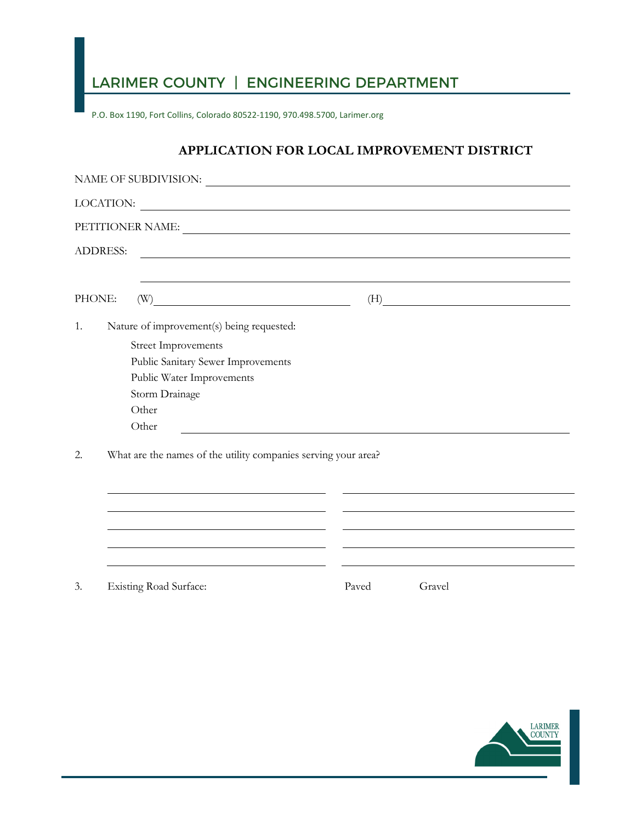## LARIMER COUNTY | ENGINEERING DEPARTMENT

P.O. Box 1190, Fort Collins, Colorado 80522-1190, 970.498.5700, Larimer.org

## **APPLICATION FOR LOCAL IMPROVEMENT DISTRICT**

|                                                                      | LOCATION:                                                                                                                                                                                                                      |       |           |  |  |  |
|----------------------------------------------------------------------|--------------------------------------------------------------------------------------------------------------------------------------------------------------------------------------------------------------------------------|-------|-----------|--|--|--|
|                                                                      | PETITIONER NAME: University of the contract of the contract of the contract of the contract of the contract of the contract of the contract of the contract of the contract of the contract of the contract of the contract of |       |           |  |  |  |
| <b>ADDRESS:</b>                                                      |                                                                                                                                                                                                                                |       |           |  |  |  |
| PHONE:                                                               | $\textbf{(W)} \label{eq:W}$                                                                                                                                                                                                    |       | $\tag{H}$ |  |  |  |
| 1.                                                                   | Nature of improvement(s) being requested:                                                                                                                                                                                      |       |           |  |  |  |
|                                                                      | <b>Street Improvements</b>                                                                                                                                                                                                     |       |           |  |  |  |
|                                                                      | Public Sanitary Sewer Improvements                                                                                                                                                                                             |       |           |  |  |  |
|                                                                      | Public Water Improvements                                                                                                                                                                                                      |       |           |  |  |  |
|                                                                      | Storm Drainage                                                                                                                                                                                                                 |       |           |  |  |  |
|                                                                      | Other                                                                                                                                                                                                                          |       |           |  |  |  |
|                                                                      | Other                                                                                                                                                                                                                          |       |           |  |  |  |
| What are the names of the utility companies serving your area?<br>2. |                                                                                                                                                                                                                                |       |           |  |  |  |
|                                                                      |                                                                                                                                                                                                                                |       |           |  |  |  |
|                                                                      |                                                                                                                                                                                                                                |       |           |  |  |  |
|                                                                      |                                                                                                                                                                                                                                |       |           |  |  |  |
|                                                                      |                                                                                                                                                                                                                                |       |           |  |  |  |
| 3.                                                                   | <b>Existing Road Surface:</b>                                                                                                                                                                                                  | Paved | Gravel    |  |  |  |

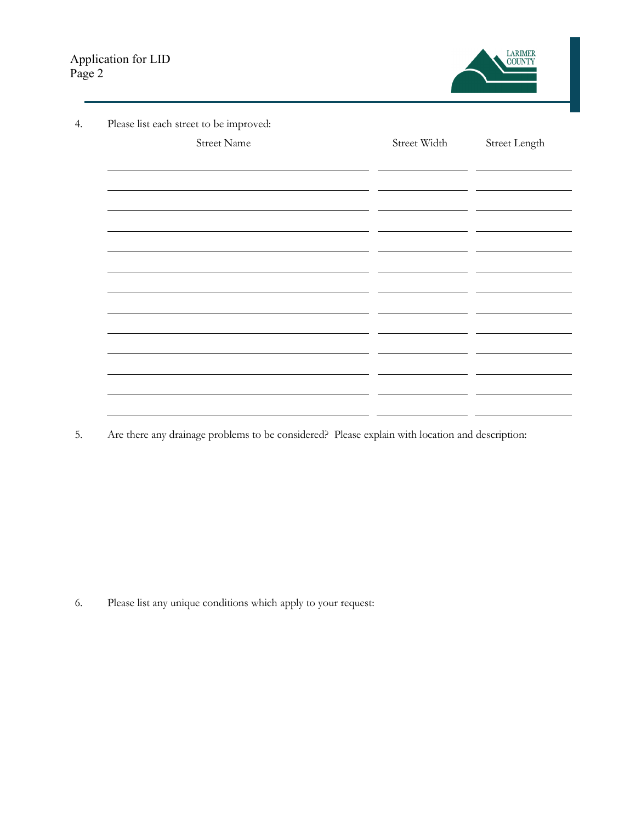

| Please list each street to be improved:                                                                               |              |               |
|-----------------------------------------------------------------------------------------------------------------------|--------------|---------------|
| <b>Street Name</b>                                                                                                    | Street Width | Street Length |
|                                                                                                                       |              |               |
|                                                                                                                       |              |               |
| <u> 1980 - Jan Samuel Barbara, martin a shekara 1980 - An tsara 1980 - An tsara 1980 - An tsara 1980 - An tsara 1</u> |              |               |
|                                                                                                                       |              |               |
| <u> 1980 - Andrea Andrew Maria (h. 1980).</u>                                                                         |              |               |
|                                                                                                                       |              |               |
| <u> 1980 - Jan Samuel Barbara, martin da shekara tsara 1980 - An tsara 1980 - An tsara 1980 - An tsara 1980 - An</u>  |              |               |
|                                                                                                                       |              |               |
|                                                                                                                       |              |               |
|                                                                                                                       |              |               |
|                                                                                                                       |              |               |
|                                                                                                                       |              |               |
|                                                                                                                       |              |               |
|                                                                                                                       |              |               |

5. Are there any drainage problems to be considered? Please explain with location and description:

6. Please list any unique conditions which apply to your request: